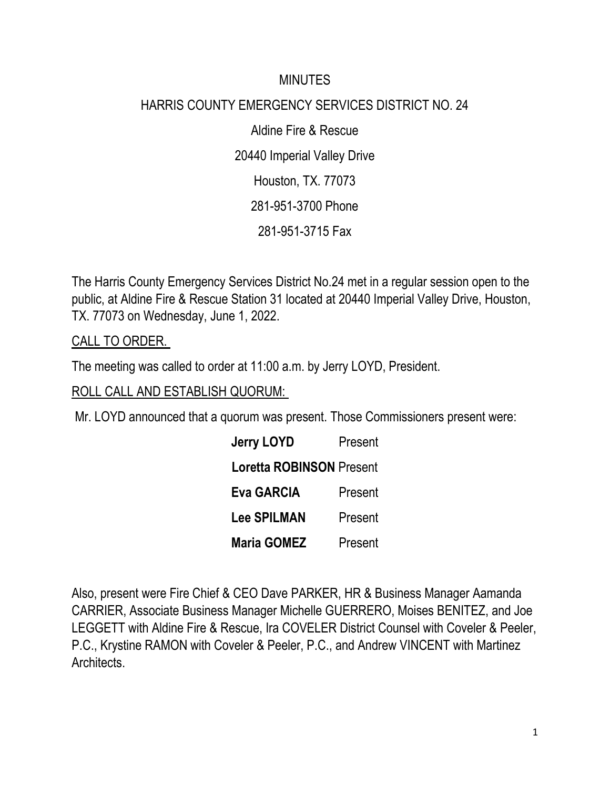#### **MINUTES**

## HARRIS COUNTY EMERGENCY SERVICES DISTRICT NO. 24

Aldine Fire & Rescue 20440 Imperial Valley Drive Houston, TX. 77073 281-951-3700 Phone 281-951-3715 Fax

The Harris County Emergency Services District No.24 met in a regular session open to the public, at Aldine Fire & Rescue Station 31 located at 20440 Imperial Valley Drive, Houston, TX. 77073 on Wednesday, June 1, 2022.

CALL TO ORDER.

The meeting was called to order at 11:00 a.m. by Jerry LOYD, President.

ROLL CALL AND ESTABLISH QUORUM:

Mr. LOYD announced that a quorum was present. Those Commissioners present were:

| <b>Jerry LOYD</b>  | Present                         |  |
|--------------------|---------------------------------|--|
|                    | <b>Loretta ROBINSON Present</b> |  |
| <b>Eva GARCIA</b>  | Present                         |  |
| <b>Lee SPILMAN</b> | Present                         |  |
| <b>Maria GOMEZ</b> | Present                         |  |

Also, present were Fire Chief & CEO Dave PARKER, HR & Business Manager Aamanda CARRIER, Associate Business Manager Michelle GUERRERO, Moises BENITEZ, and Joe LEGGETT with Aldine Fire & Rescue, Ira COVELER District Counsel with Coveler & Peeler, P.C., Krystine RAMON with Coveler & Peeler, P.C., and Andrew VINCENT with Martinez Architects.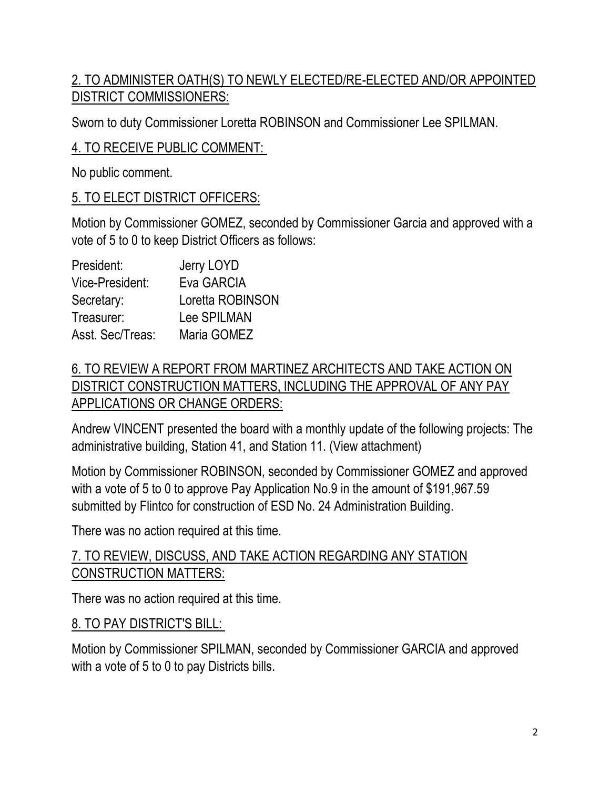## 2. TO ADMINISTER OATH(S) TO NEWLY ELECTED/RE-ELECTED AND/OR APPOINTED DISTRICT COMMISSIONERS:

Sworn to duty Commissioner Loretta ROBINSON and Commissioner Lee SPILMAN.

### 4. TO RECEIVE PUBLIC COMMENT:

No public comment.

#### 5. TO ELECT DISTRICT OFFICERS:

Motion by Commissioner GOMEZ, seconded by Commissioner Garcia and approved with a vote of 5 to 0 to keep District Officers as follows:

| President:       | Jerry LOYD       |
|------------------|------------------|
| Vice-President:  | Eva GARCIA       |
| Secretary:       | Loretta ROBINSON |
| Treasurer:       | Lee SPILMAN      |
| Asst. Sec/Treas: | Maria GOMEZ      |

## 6. TO REVIEW A REPORT FROM MARTINEZ ARCHITECTS AND TAKE ACTION ON DISTRICT CONSTRUCTION MATTERS, INCLUDING THE APPROVAL OF ANY PAY APPLICATIONS OR CHANGE ORDERS:

Andrew VINCENT presented the board with a monthly update of the following projects: The administrative building, Station 41, and Station 11. (View attachment)

Motion by Commissioner ROBINSON, seconded by Commissioner GOMEZ and approved with a vote of 5 to 0 to approve Pay Application No.9 in the amount of \$191,967.59 submitted by Flintco for construction of ESD No. 24 Administration Building.

There was no action required at this time.

### 7. TO REVIEW, DISCUSS, AND TAKE ACTION REGARDING ANY STATION CONSTRUCTION MATTERS:

There was no action required at this time.

#### 8. TO PAY DISTRICT'S BILL:

Motion by Commissioner SPILMAN, seconded by Commissioner GARCIA and approved with a vote of 5 to 0 to pay Districts bills.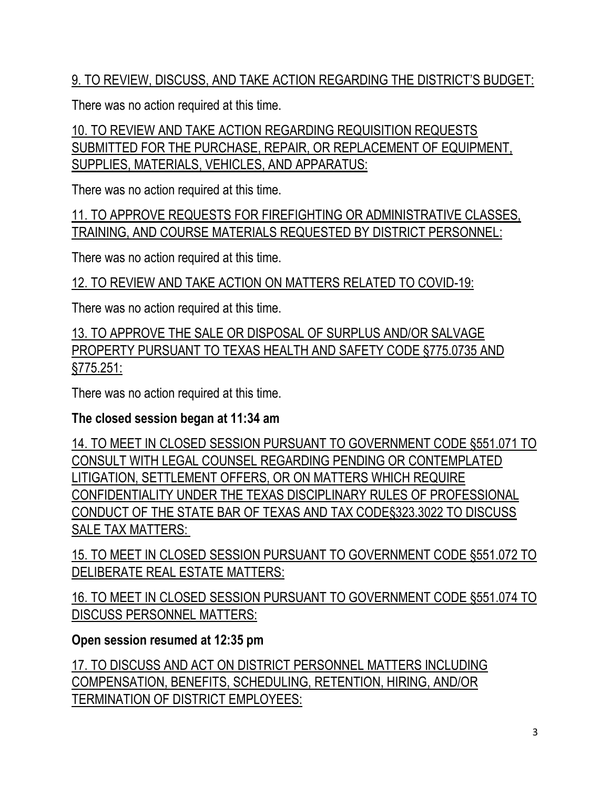9. TO REVIEW, DISCUSS, AND TAKE ACTION REGARDING THE DISTRICT'S BUDGET:

There was no action required at this time.

10. TO REVIEW AND TAKE ACTION REGARDING REQUISITION REQUESTS SUBMITTED FOR THE PURCHASE, REPAIR, OR REPLACEMENT OF EQUIPMENT, SUPPLIES, MATERIALS, VEHICLES, AND APPARATUS:

There was no action required at this time.

11. TO APPROVE REQUESTS FOR FIREFIGHTING OR ADMINISTRATIVE CLASSES, TRAINING, AND COURSE MATERIALS REQUESTED BY DISTRICT PERSONNEL:

There was no action required at this time.

12. TO REVIEW AND TAKE ACTION ON MATTERS RELATED TO COVID-19:

There was no action required at this time.

13. TO APPROVE THE SALE OR DISPOSAL OF SURPLUS AND/OR SALVAGE PROPERTY PURSUANT TO TEXAS HEALTH AND SAFETY CODE §775.0735 AND §775.251:

There was no action required at this time.

# **The closed session began at 11:34 am**

14. TO MEET IN CLOSED SESSION PURSUANT TO GOVERNMENT CODE §551.071 TO CONSULT WITH LEGAL COUNSEL REGARDING PENDING OR CONTEMPLATED LITIGATION, SETTLEMENT OFFERS, OR ON MATTERS WHICH REQUIRE CONFIDENTIALITY UNDER THE TEXAS DISCIPLINARY RULES OF PROFESSIONAL CONDUCT OF THE STATE BAR OF TEXAS AND TAX CODE§323.3022 TO DISCUSS SALE TAX MATTERS:

15. TO MEET IN CLOSED SESSION PURSUANT TO GOVERNMENT CODE §551.072 TO DELIBERATE REAL ESTATE MATTERS:

16. TO MEET IN CLOSED SESSION PURSUANT TO GOVERNMENT CODE §551.074 TO DISCUSS PERSONNEL MATTERS:

# **Open session resumed at 12:35 pm**

17. TO DISCUSS AND ACT ON DISTRICT PERSONNEL MATTERS INCLUDING COMPENSATION, BENEFITS, SCHEDULING, RETENTION, HIRING, AND/OR TERMINATION OF DISTRICT EMPLOYEES: